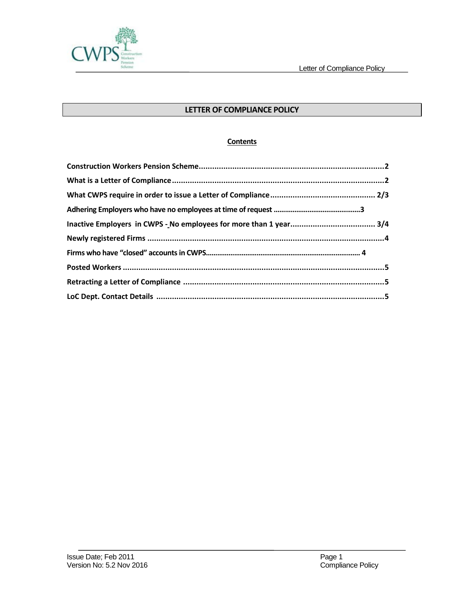

# **LETTER OF COMPLIANCE POLICY**

## **Contents**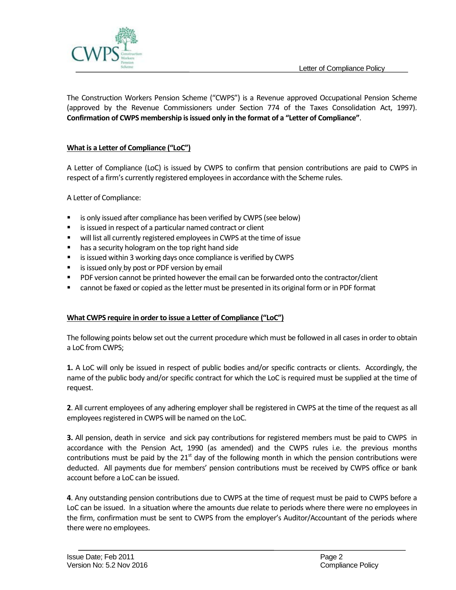

The Construction Workers Pension Scheme ("CWPS") is a Revenue approved Occupational Pension Scheme (approved by the Revenue Commissioners under Section 774 of the Taxes Consolidation Act, 1997). **Confirmation of CWPS membership is issued only in the format of a "Letter of Compliance"**.

## **What is a Letter of Compliance ("LoC")**

A Letter of Compliance (LoC) is issued by CWPS to confirm that pension contributions are paid to CWPS in respect of a firm's currently registered employees in accordance with the Scheme rules.

A Letter of Compliance:

- is only issued after compliance has been verified by CWPS (see below)
- **EXTERCT** is issued in respect of a particular named contract or client
- will list all currently registered employees in CWPS at the time of issue
- **has a security hologram on the top right hand side**
- **EXECT** is issued within 3 working days once compliance is verified by CWPS
- **EXTE** is issued only by post or PDF version by email
- PDF version cannot be printed however the email can be forwarded onto the contractor/client
- cannot be faxed or copied as the letter must be presented in its original form or in PDF format

#### **What CWPS require in order to issue a Letter of Compliance ("LoC")**

The following points below set out the current procedure which must be followed in all cases in order to obtain a LoC from CWPS;

**1.** A LoC will only be issued in respect of public bodies and/or specific contracts or clients. Accordingly, the name of the public body and/or specific contract for which the LoC is required must be supplied at the time of request.

**2**. All current employees of any adhering employer shall be registered in CWPS at the time of the request as all employees registered in CWPS will be named on the LoC.

**3.** All pension, death in service and sick pay contributions for registered members must be paid to CWPS in accordance with the Pension Act, 1990 (as amended) and the CWPS rules i.e. the previous months contributions must be paid by the  $21<sup>st</sup>$  day of the following month in which the pension contributions were deducted. All payments due for members' pension contributions must be received by CWPS office or bank account before a LoC can be issued.

**4**. Any outstanding pension contributions due to CWPS at the time of request must be paid to CWPS before a LoC can be issued. In a situation where the amounts due relate to periods where there were no employees in the firm, confirmation must be sent to CWPS from the employer's Auditor/Accountant of the periods where there were no employees.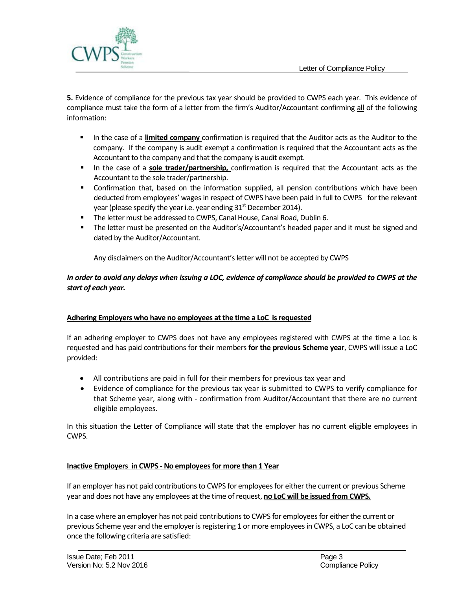

**5.** Evidence of compliance for the previous tax year should be provided to CWPS each year. This evidence of compliance must take the form of a letter from the firm's Auditor/Accountant confirming all of the following information:

- In the case of a **limited company** confirmation is required that the Auditor acts as the Auditor to the company. If the company is audit exempt a confirmation is required that the Accountant acts as the Accountant to the company and that the company is audit exempt.
- In the case of a **sole trader/partnership,** confirmation is required that the Accountant acts as the Accountant to the sole trader/partnership.
- Confirmation that, based on the information supplied, all pension contributions which have been deducted from employees' wages in respect of CWPS have been paid in full to CWPS for the relevant year (please specify the year i.e. year ending  $31<sup>st</sup>$  December 2014).
- **The letter must be addressed to CWPS, Canal House, Canal Road, Dublin 6.**
- The letter must be presented on the Auditor's/Accountant's headed paper and it must be signed and dated by the Auditor/Accountant.

Any disclaimers on the Auditor/Accountant's letter will not be accepted by CWPS

## *In order to avoid any delays when issuing a LOC, evidence of compliance should be provided to CWPS at the start of each year.*

### **Adhering Employers who have no employees at the time a LoC is requested**

If an adhering employer to CWPS does not have any employees registered with CWPS at the time a Loc is requested and has paid contributions for their members **for the previous Scheme year**, CWPS will issue a LoC provided:

- All contributions are paid in full for their members for previous tax year and
- Evidence of compliance for the previous tax year is submitted to CWPS to verify compliance for that Scheme year, along with - confirmation from Auditor/Accountant that there are no current eligible employees.

In this situation the Letter of Compliance will state that the employer has no current eligible employees in CWPS.

### **Inactive Employers in CWPS - No employees for more than 1 Year**

If an employer has not paid contributions to CWPS for employees for either the current or previous Scheme year and does not have any employees at the time of request, **no LoC will be issued from CWPS.**

In a case where an employer has not paid contributions to CWPS for employees for either the current or previous Scheme year and the employer is registering 1 or more employees in CWPS, a LoC can be obtained once the following criteria are satisfied: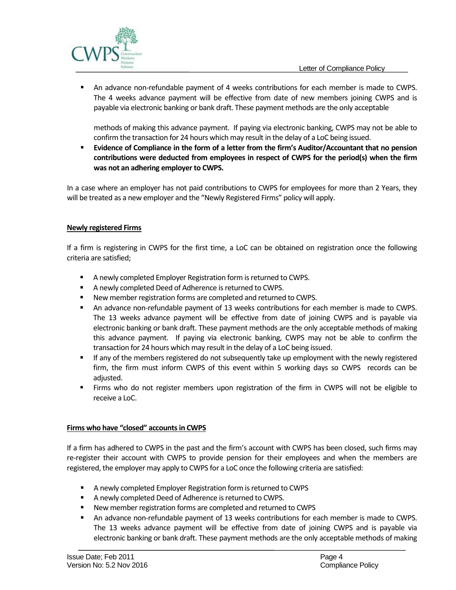

 An advance non-refundable payment of 4 weeks contributions for each member is made to CWPS. The 4 weeks advance payment will be effective from date of new members joining CWPS and is payable via electronic banking or bank draft. These payment methods are the only acceptable

methods of making this advance payment. If paying via electronic banking, CWPS may not be able to confirm the transaction for 24 hours which may result in the delay of a LoC being issued.

 **Evidence of Compliance in the form of a letter from the firm's Auditor/Accountant that no pension contributions were deducted from employees in respect of CWPS for the period(s) when the firm was not an adhering employer to CWPS.** 

In a case where an employer has not paid contributions to CWPS for employees for more than 2 Years, they will be treated as a new employer and the "Newly Registered Firms" policy will apply.

### **Newly registered Firms**

If a firm is registering in CWPS for the first time, a LoC can be obtained on registration once the following criteria are satisfied;

- A newly completed Employer Registration form is returned to CWPS.
- A newly completed Deed of Adherence is returned to CWPS.
- New member registration forms are completed and returned to CWPS.
- An advance non-refundable payment of 13 weeks contributions for each member is made to CWPS. The 13 weeks advance payment will be effective from date of joining CWPS and is payable via electronic banking or bank draft. These payment methods are the only acceptable methods of making this advance payment. If paying via electronic banking, CWPS may not be able to confirm the transaction for 24 hours which may result in the delay of a LoC being issued.
- If any of the members registered do not subsequently take up employment with the newly registered firm, the firm must inform CWPS of this event within 5 working days so CWPS records can be adjusted.
- Firms who do not register members upon registration of the firm in CWPS will not be eligible to receive a LoC.

### **Firms who have "closed" accounts in CWPS**

If a firm has adhered to CWPS in the past and the firm's account with CWPS has been closed, such firms may re-register their account with CWPS to provide pension for their employees and when the members are registered, the employer may apply to CWPS for a LoC once the following criteria are satisfied:

- A newly completed Employer Registration form is returned to CWPS
- A newly completed Deed of Adherence is returned to CWPS.
- New member registration forms are completed and returned to CWPS
- An advance non-refundable payment of 13 weeks contributions for each member is made to CWPS. The 13 weeks advance payment will be effective from date of joining CWPS and is payable via electronic banking or bank draft. These payment methods are the only acceptable methods of making